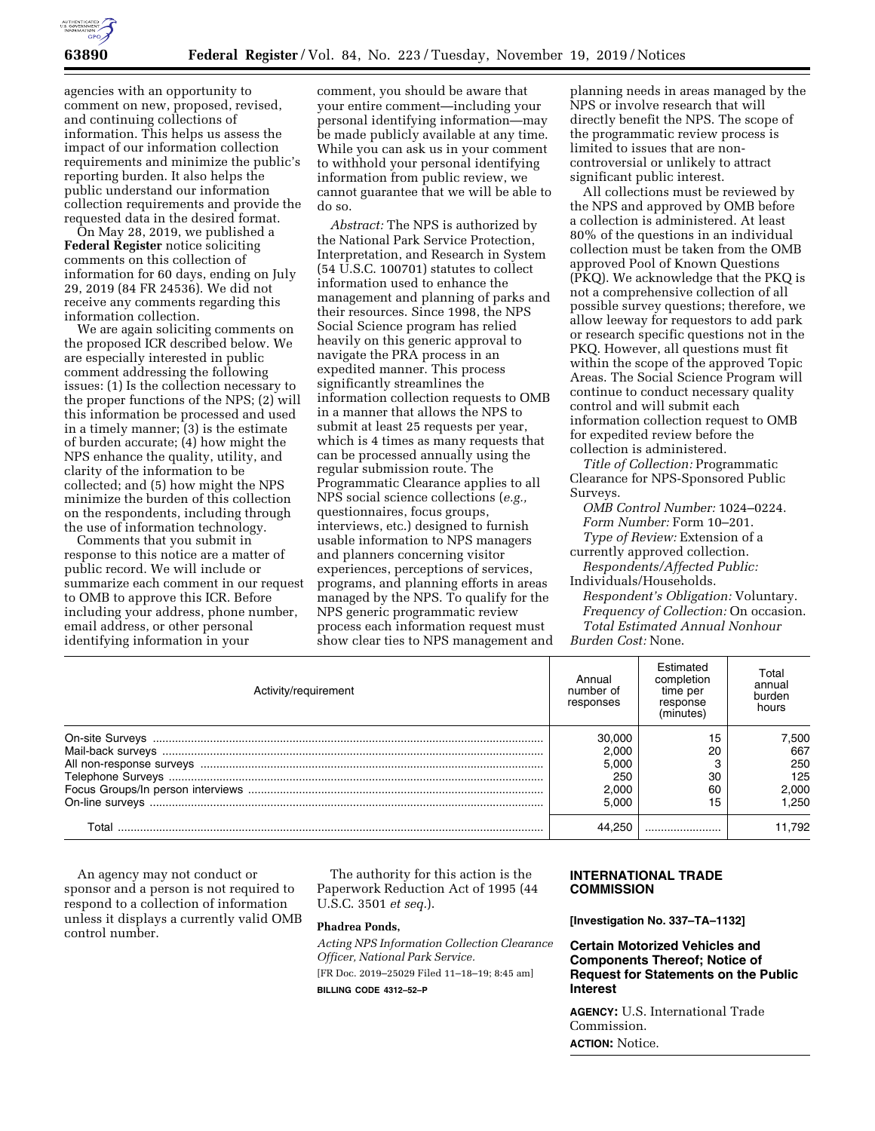

agencies with an opportunity to comment on new, proposed, revised, and continuing collections of information. This helps us assess the impact of our information collection requirements and minimize the public's reporting burden. It also helps the public understand our information collection requirements and provide the requested data in the desired format.

On May 28, 2019, we published a **Federal Register** notice soliciting comments on this collection of information for 60 days, ending on July 29, 2019 (84 FR 24536). We did not receive any comments regarding this information collection.

We are again soliciting comments on the proposed ICR described below. We are especially interested in public comment addressing the following issues: (1) Is the collection necessary to the proper functions of the NPS; (2) will this information be processed and used in a timely manner; (3) is the estimate of burden accurate; (4) how might the NPS enhance the quality, utility, and clarity of the information to be collected; and (5) how might the NPS minimize the burden of this collection on the respondents, including through the use of information technology.

Comments that you submit in response to this notice are a matter of public record. We will include or summarize each comment in our request to OMB to approve this ICR. Before including your address, phone number, email address, or other personal identifying information in your

comment, you should be aware that your entire comment—including your personal identifying information—may be made publicly available at any time. While you can ask us in your comment to withhold your personal identifying information from public review, we cannot guarantee that we will be able to do so.

*Abstract:* The NPS is authorized by the National Park Service Protection, Interpretation, and Research in System (54 U.S.C. 100701) statutes to collect information used to enhance the management and planning of parks and their resources. Since 1998, the NPS Social Science program has relied heavily on this generic approval to navigate the PRA process in an expedited manner. This process significantly streamlines the information collection requests to OMB in a manner that allows the NPS to submit at least 25 requests per year, which is 4 times as many requests that can be processed annually using the regular submission route. The Programmatic Clearance applies to all NPS social science collections (*e.g.,*  questionnaires, focus groups, interviews, etc.) designed to furnish usable information to NPS managers and planners concerning visitor experiences, perceptions of services, programs, and planning efforts in areas managed by the NPS. To qualify for the NPS generic programmatic review process each information request must show clear ties to NPS management and

planning needs in areas managed by the NPS or involve research that will directly benefit the NPS. The scope of the programmatic review process is limited to issues that are noncontroversial or unlikely to attract significant public interest.

All collections must be reviewed by the NPS and approved by OMB before a collection is administered. At least 80% of the questions in an individual collection must be taken from the OMB approved Pool of Known Questions (PKQ). We acknowledge that the PKQ is not a comprehensive collection of all possible survey questions; therefore, we allow leeway for requestors to add park or research specific questions not in the PKQ. However, all questions must fit within the scope of the approved Topic Areas. The Social Science Program will continue to conduct necessary quality control and will submit each information collection request to OMB for expedited review before the collection is administered.

*Title of Collection:* Programmatic Clearance for NPS-Sponsored Public Surveys.

*OMB Control Number:* 1024–0224. *Form Number:* Form 10–201. *Type of Review:* Extension of a currently approved collection. *Respondents/Affected Public:* 

Individuals/Households. *Respondent's Obligation:* Voluntary. *Frequency of Collection:* On occasion. *Total Estimated Annual Nonhour Burden Cost:* None.

| Activity/requirement | Annual<br>number of<br>responses | Fstimated<br>completion<br>time per<br>response<br>(minutes) | Total<br>annual<br>burden<br>hours |
|----------------------|----------------------------------|--------------------------------------------------------------|------------------------------------|
|                      | 30,000                           | 15                                                           | 7.500                              |
|                      | 2.000                            | 20                                                           | 667                                |
|                      | 5.000                            |                                                              | 250                                |
|                      | 250                              | 30                                                           | 125                                |
|                      | 2.000                            | 60                                                           | 2.000                              |
|                      | 5.000                            | 15                                                           | .250                               |
| T∩tal                |                                  |                                                              | 11.792                             |

An agency may not conduct or sponsor and a person is not required to respond to a collection of information unless it displays a currently valid OMB control number.

The authority for this action is the Paperwork Reduction Act of 1995 (44 U.S.C. 3501 *et seq.*).

## **Phadrea Ponds,**

*Acting NPS Information Collection Clearance Officer, National Park Service.* 

[FR Doc. 2019–25029 Filed 11–18–19; 8:45 am]

**BILLING CODE 4312–52–P** 

# **INTERNATIONAL TRADE COMMISSION**

**[Investigation No. 337–TA–1132]** 

**Certain Motorized Vehicles and Components Thereof; Notice of Request for Statements on the Public Interest** 

**AGENCY:** U.S. International Trade Commission. **ACTION:** Notice.